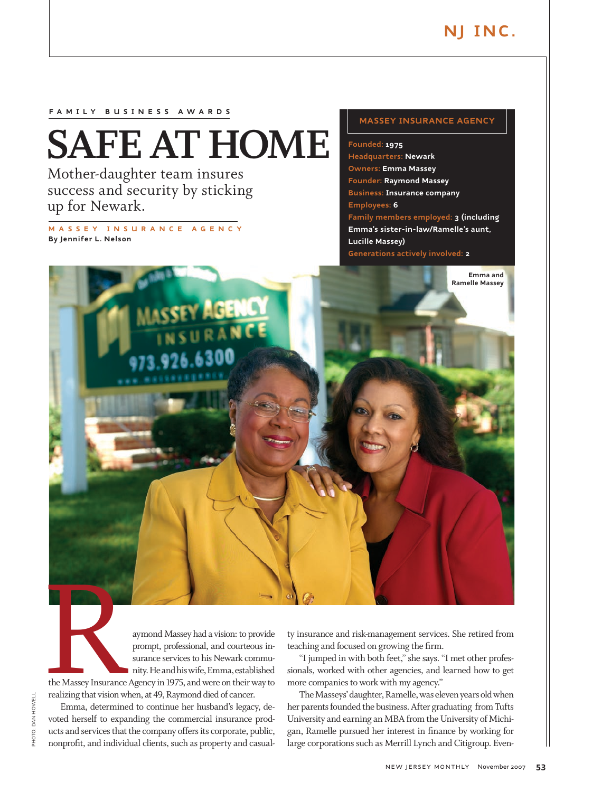**Emma and Ramelle Massey**

## **F A MIL Y B US INE SS A W A R D S**

# **SAFE AT HOME**

Mother-daughter team insures success and security by sticking up for Newark.

**M ASS E Y IN SU R A N C E A GEN CY By Jennifer L. Nelson**

## **Massey Insurance Agency**

**Founded: 1975 Headquarters: Newark Owners: Emma Massey Founder: Raymond Massey Business: Insurance company Employees: 6 Family members employed: 3 (including Emma's sister-in-law/Ramelle's aunt, Lucille Massey) Generations actively involved: 2** 

aymond Massey had a vision: to provide prompt, professional, and courteous insurance services to his Newark community. He and his wife, Emma, established

the Massey Insurance Agency in 1975, and were on their way to realizing that vision when, at 49, Raymond died of cancer. The Massey Insurance

Emma, determined to continue her husband's legacy, devoted herself to expanding the commercial insurance products and services that the company offers its corporate, public, nonprofit, and individual clients, such as property and casualty insurance and risk-management services. She retired from teaching and focused on growing the firm.

"I jumped in with both feet," she says. "I met other professionals, worked with other agencies, and learned how to get more companies to work with my agency."

The Masseys' daughter, Ramelle, was eleven years old when her parents founded the business. After graduating from Tufts University and earning an MBA from the University of Michigan, Ramelle pursued her interest in finance by working for large corporations such as Merrill Lynch and Citigroup. Even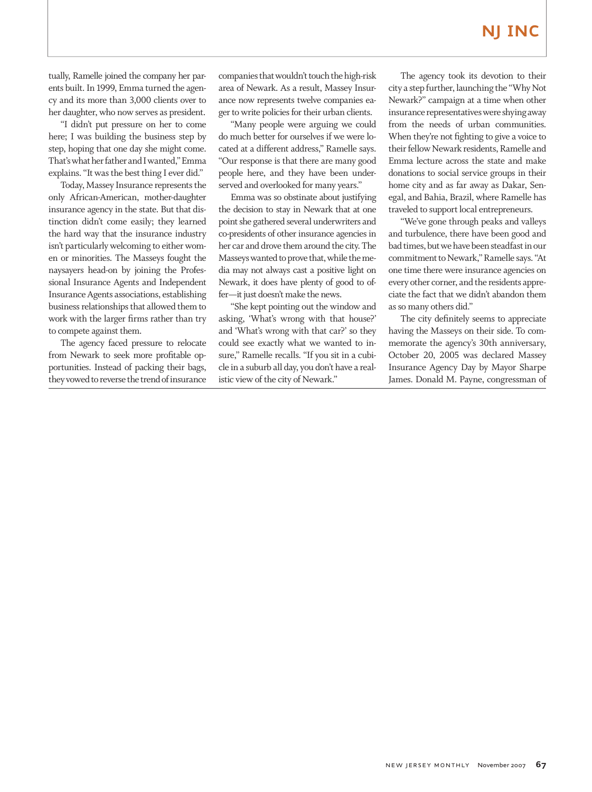tually, Ramelle joined the company her parents built. In 1999, Emma turned the agency and its more than 3,000 clients over to her daughter, who now serves as president.

"I didn't put pressure on her to come here; I was building the business step by step, hoping that one day she might come. That's what her father and I wanted," Emma explains. "It was the best thing I ever did."

Today, Massey Insurance represents the only African-American, mother-daughter insurance agency in the state. But that distinction didn't come easily; they learned the hard way that the insurance industry isn't particularly welcoming to either women or minorities. The Masseys fought the naysayers head-on by joining the Professional Insurance Agents and Independent Insurance Agents associations, establishing business relationships that allowed them to work with the larger firms rather than try to compete against them.

The agency faced pressure to relocate from Newark to seek more profitable opportunities. Instead of packing their bags, they vowed to reverse the trend of insurance companies that wouldn't touch the high-risk area of Newark. As a result, Massey Insurance now represents twelve companies eager to write policies for their urban clients.

"Many people were arguing we could do much better for ourselves if we were located at a different address," Ramelle says. "Our response is that there are many good people here, and they have been underserved and overlooked for many years."

Emma was so obstinate about justifying the decision to stay in Newark that at one point she gathered several underwriters and co-presidents of other insurance agencies in her car and drove them around the city. The Masseys wanted to prove that, while the media may not always cast a positive light on Newark, it does have plenty of good to offer—it just doesn't make the news.

"She kept pointing out the window and asking, 'What's wrong with that house?' and 'What's wrong with that car?' so they could see exactly what we wanted to insure," Ramelle recalls. "If you sit in a cubicle in a suburb all day, you don't have a realistic view of the city of Newark."

The agency took its devotion to their city a step further, launching the "Why Not Newark?" campaign at a time when other insurance representatives were shying away from the needs of urban communities. When they're not fighting to give a voice to their fellow Newark residents, Ramelle and Emma lecture across the state and make donations to social service groups in their home city and as far away as Dakar, Senegal, and Bahia, Brazil, where Ramelle has traveled to support local entrepreneurs.

"We've gone through peaks and valleys and turbulence, there have been good and bad times, but we have been steadfast in our commitment to Newark," Ramelle says. "At one time there were insurance agencies on every other corner, and the residents appreciate the fact that we didn't abandon them as so many others did."

The city definitely seems to appreciate having the Masseys on their side. To commemorate the agency's 30th anniversary, October 20, 2005 was declared Massey Insurance Agency Day by Mayor Sharpe James. Donald M. Payne, congressman of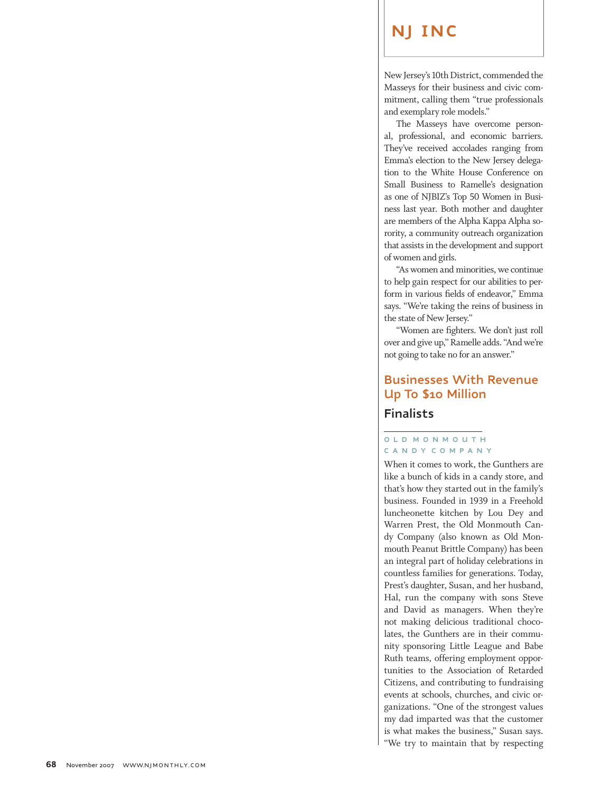New Jersey's 10th District, commended the Masseys for their business and civic com mitment, calling them "true professionals and exemplary role models."

The Masseys have overcome person al, professional, and economic barriers. They've received accolades ranging from Emma's election to the New Jersey delegation to the White House Conference on Small Business to Ramelle's designation as one of NJBIZ's Top 50 Women in Busi ness last year. Both mother and daughter are members of the Alpha Kappa Alpha so rority, a community outreach organization that assists in the development and support of women and girls.

"As women and minorities, we continue to help gain respect for our abilities to perform in various fields of endeavor," Emma says. "We're taking the reins of business in the state of New Jersey."

"Women are fighters. We don't just roll over and give up," Ramelle adds. "And we're not going to take no for an answer."

## **Businesses With Revenue Up To \$10 Million**

## **Finalists**

## **OLD MONMO U T H CA N D Y C OMP A N Y**

When it comes to work, the Gunthers are like a bunch of kids in a candy store, and that's how they started out in the family's business. Founded in 1939 in a Freehold luncheonette kitchen by Lou Dey and Warren Prest, the Old Monmouth Can dy Company (also known as Old Mon mouth Peanut Brittle Company) has been an integral part of holiday celebrations in countless families for generations. Today, Prest's daughter, Susan, and her husband, Hal, run the company with sons Steve and David as managers. When they're not making delicious traditional choco lates, the Gunthers are in their commu nity sponsoring Little League and Babe Ruth teams, offering employment opportunities to the Association of Retarded Citizens, and contributing to fundraising events at schools, churches, and civic organizations. "One of the strongest values my dad imparted was that the customer is what makes the business," Susan says. "We try to maintain that by respecting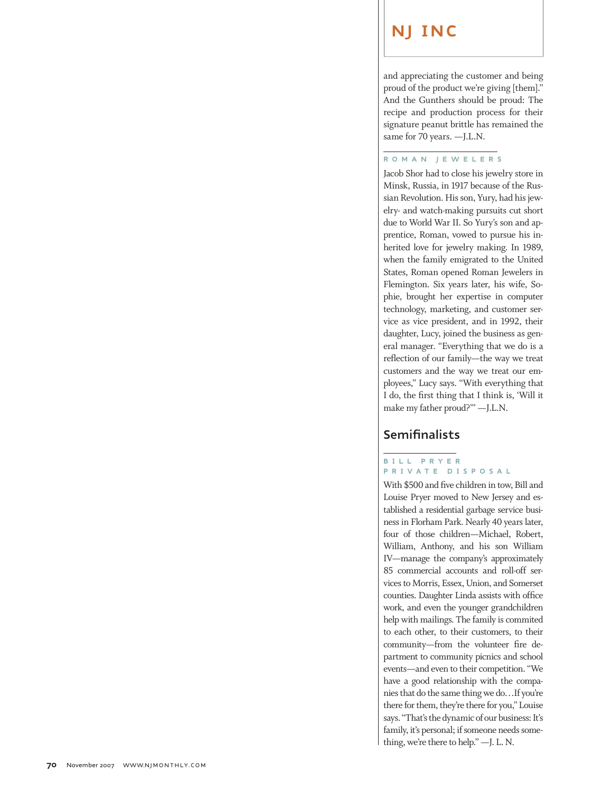and appreciating the customer and being proud of the product we're giving [them]." And the Gunthers should be proud: The recipe and production process for their signature peanut brittle has remained the same for 70 years. —J.L.N.

#### $\overline{a}$ **ROM A N JEWELER S**

Jacob Shor had to close his jewelry store in Minsk, Russia, in 1917 because of the Rus sian Revolution. His son, Yury, had his jewelry- and watch-making pursuits cut short due to World War II. So Yury's son and ap prentice, Roman, vowed to pursue his in herited love for jewelry making. In 1989, when the family emigrated to the United States, Roman opened Roman Jewelers in Flemington. Six years later, his wife, So phie, brought her expertise in computer technology, marketing, and customer service as vice president, and in 1992, their daughter, Lucy, joined the business as gen eral manager. "Everything that we do is a reflection of our family—the way we treat customers and the way we treat our em ployees," Lucy says. "With everything that I do, the first thing that I think is, 'Will it make my father proud?'" —J.L.N.

## **Semifinalists**

## **BILL PR Y E R PRIV A TE DI S P O SA L**

With \$500 and five children in tow, Bill and Louise Pryer moved to New Jersey and es tablished a residential garbage service busi ness in Florham Park. Nearly 40 years later, four of those children—Michael, Robert, William, Anthony, and his son William IV—manage the company's approximately 85 commercial accounts and roll-off services to Morris, Essex, Union, and Somerset counties. Daughter Linda assists with office work, and even the younger grandchildren help with mailings. The family is commited to each other, to their customers, to their community—from the volunteer fire de partment to community picnics and school events—and even to their competition. "We have a good relationship with the companies that do the same thing we do…If you're there for them, they're there for you," Louise says. "That's the dynamic of our business: It's family, it's personal; if someone needs something, we're there to help." —J. L. N.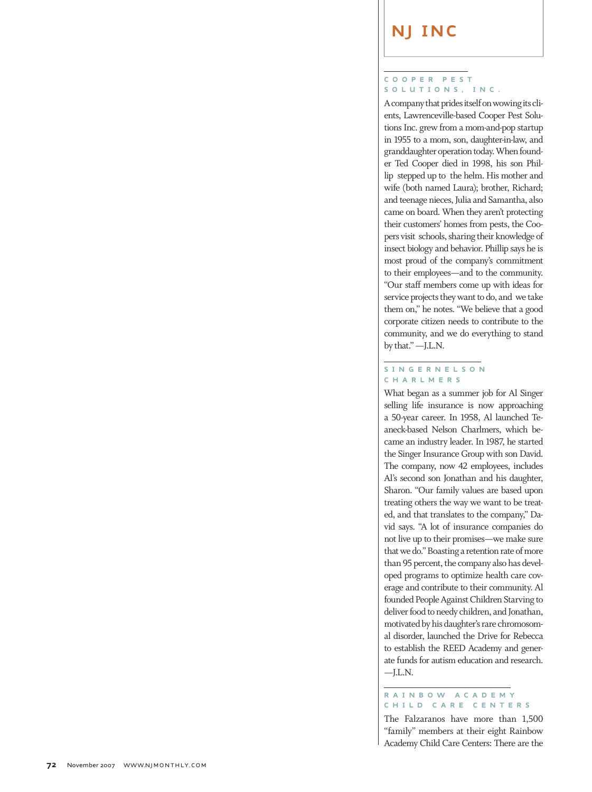#### COOPER **P E S T S O L U TION S , IN C**

**.**

A company that prides itself on wowing its cli ents, Lawrenceville-based Cooper Pest Solutions Inc. grew from a mom-and-pop startup in 1955 to a mom, son, daughter-in-law, and granddaughter operation today. When found er Ted Cooper died in 1998, his son Phil lip stepped up to the helm. His mother and wife (both named Laura); brother, Richard; and teenage nieces, Julia and Samantha, also came on board. When they aren't protecting their customers' homes from pests, the Coo pers visit schools, sharing their knowledge of insect biology and behavior. Phillip says he is most proud of the company's commitment to their employees—and to the community. "Our staff members come up with ideas for service projects they want to do, and we take them on," he notes. "We believe that a good corporate citizen needs to contribute to the community, and we do everything to stand by that." —J.L.N.

## **S INGERNEL S O N C H A RLMER S**

What began as a summer job for Al Singer selling life insurance is now approaching a 50-year career. In 1958, Al launched Te aneck-based Nelson Charlmers, which be came an industry leader. In 1987, he started the Singer Insurance Group with son David. The company, now 42 employees, includes Al's second son Jonathan and his daughter, Sharon. "Our family values are based upon treating others the way we want to be treated, and that translates to the company," David says. "A lot of insurance companies do not live up to their promises—we make sure that we do." Boasting a retention rate of more than 95 percent, the company also has devel oped programs to optimize health care coverage and contribute to their community. Al founded People Against Children Starving to deliver food to needy children, and Jonathan, motivated by his daughter's rare chromosom al disorder, launched the Drive for Rebecca to establish the REED Academy and generate funds for autism education and research.  $-J.L.N.$ 

## **R A INBOW ACA DEM Y C HILD CA RE C ENTER S**

The Falzaranos have more than 1,500 "family" members at their eight Rainbow Academy Child Care Centers: There are the